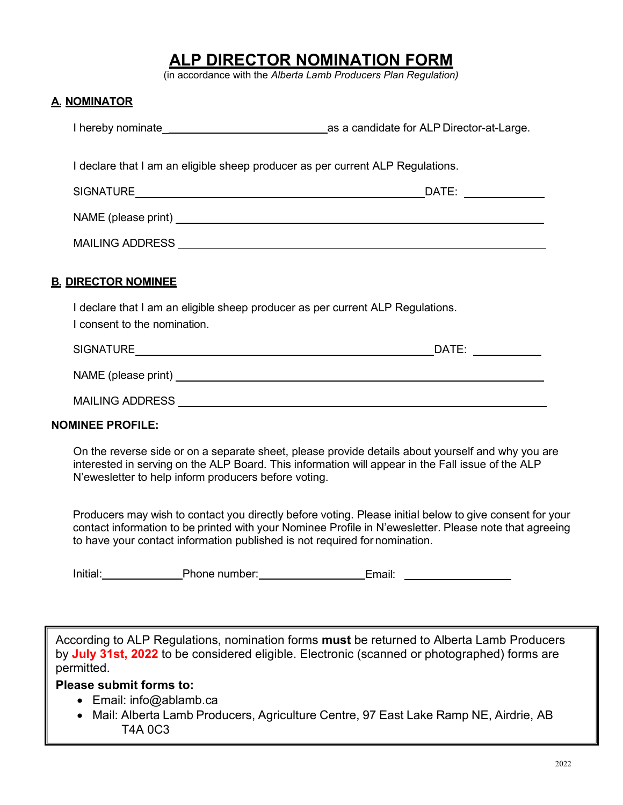## **ALP DIRECTOR NOMINATION FORM**

(in accordance with the *Alberta Lamb Producers Plan Regulation)*

## **A. NOMINATOR**

| I declare that I am an eligible sheep producer as per current ALP Regulations.                                 |  |
|----------------------------------------------------------------------------------------------------------------|--|
|                                                                                                                |  |
|                                                                                                                |  |
|                                                                                                                |  |
| <b>B. DIRECTOR NOMINEE</b>                                                                                     |  |
| I declare that I am an eligible sheep producer as per current ALP Regulations.<br>I consent to the nomination. |  |
|                                                                                                                |  |
|                                                                                                                |  |
|                                                                                                                |  |
| .                                                                                                              |  |

## **NOMINEE PROFILE:**

On the reverse side or on a separate sheet, please provide details about yourself and why you are interested in serving on the ALP Board. This information will appear in the Fall issue of the ALP N'ewesletter to help inform producers before voting.

Producers may wish to contact you directly before voting. Please initial below to give consent for your contact information to be printed with your Nominee Profile in N'ewesletter. Please note that agreeing to have your contact information published is not required for nomination.

| Initial: | Phone number: | :mail: |  |
|----------|---------------|--------|--|
|----------|---------------|--------|--|

According to ALP Regulations, nomination forms **must** be returned to Alberta Lamb Producers by **July 31st, 2022** to be considered eligible. Electronic (scanned or photographed) forms are permitted.

## **Please submit forms to:**

- Email: [info@ablamb.ca](mailto:info@ablamb.ca)
- Mail: Alberta Lamb Producers, Agriculture Centre, 97 East Lake Ramp NE, Airdrie, AB T4A 0C3